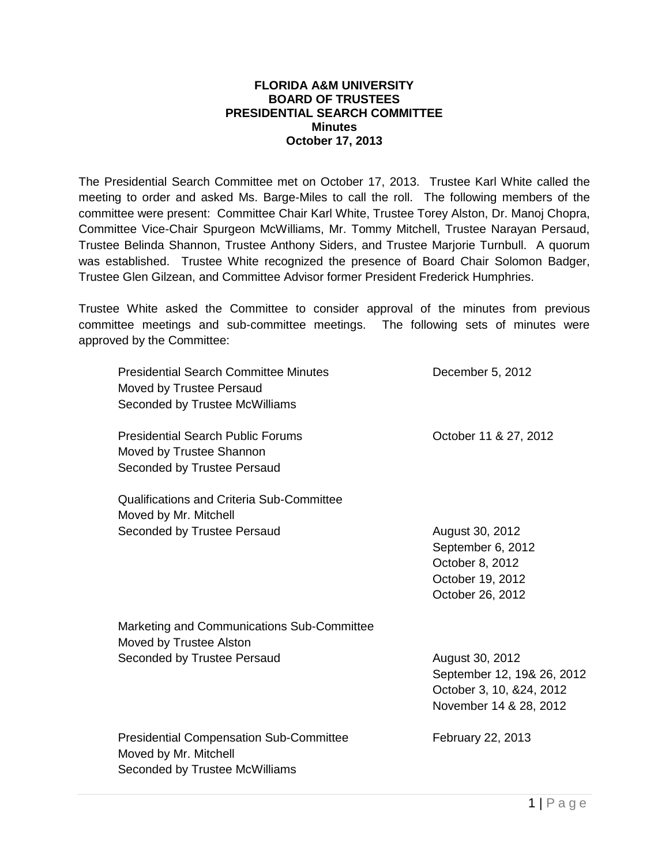## **FLORIDA A&M UNIVERSITY BOARD OF TRUSTEES PRESIDENTIAL SEARCH COMMITTEE Minutes October 17, 2013**

The Presidential Search Committee met on October 17, 2013. Trustee Karl White called the meeting to order and asked Ms. Barge-Miles to call the roll. The following members of the committee were present: Committee Chair Karl White, Trustee Torey Alston, Dr. Manoj Chopra, Committee Vice-Chair Spurgeon McWilliams, Mr. Tommy Mitchell, Trustee Narayan Persaud, Trustee Belinda Shannon, Trustee Anthony Siders, and Trustee Marjorie Turnbull. A quorum was established. Trustee White recognized the presence of Board Chair Solomon Badger, Trustee Glen Gilzean, and Committee Advisor former President Frederick Humphries.

Trustee White asked the Committee to consider approval of the minutes from previous committee meetings and sub-committee meetings. The following sets of minutes were approved by the Committee:

| <b>Presidential Search Committee Minutes</b><br>Moved by Trustee Persaud<br>Seconded by Trustee McWilliams | December 5, 2012                                                                                    |
|------------------------------------------------------------------------------------------------------------|-----------------------------------------------------------------------------------------------------|
| <b>Presidential Search Public Forums</b><br>Moved by Trustee Shannon<br>Seconded by Trustee Persaud        | October 11 & 27, 2012                                                                               |
| Qualifications and Criteria Sub-Committee<br>Moved by Mr. Mitchell                                         |                                                                                                     |
| Seconded by Trustee Persaud                                                                                | August 30, 2012<br>September 6, 2012<br>October 8, 2012<br>October 19, 2012<br>October 26, 2012     |
| Marketing and Communications Sub-Committee<br>Moved by Trustee Alston                                      |                                                                                                     |
| Seconded by Trustee Persaud                                                                                | August 30, 2012<br>September 12, 19& 26, 2012<br>October 3, 10, &24, 2012<br>November 14 & 28, 2012 |
| <b>Presidential Compensation Sub-Committee</b><br>Moved by Mr. Mitchell<br>Seconded by Trustee McWilliams  | February 22, 2013                                                                                   |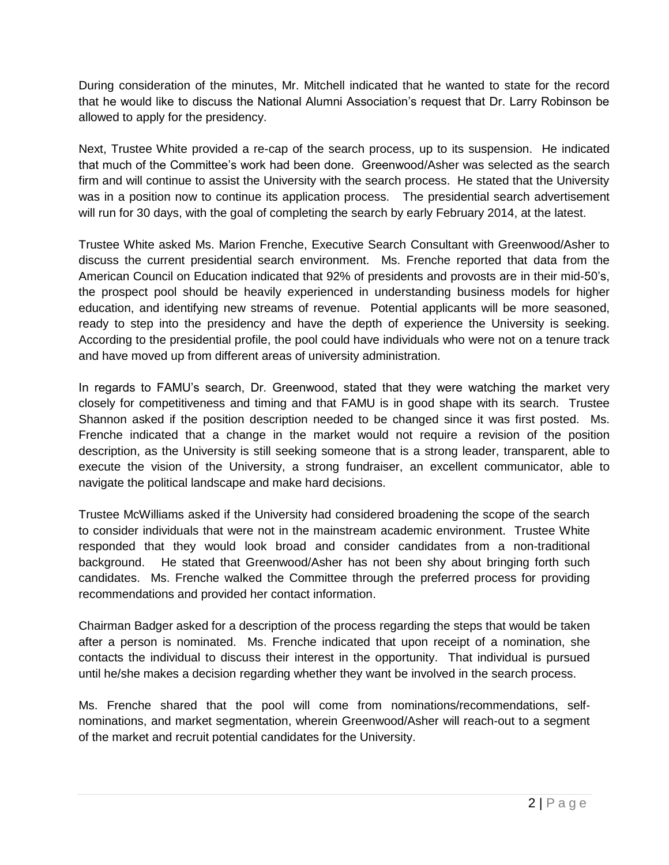During consideration of the minutes, Mr. Mitchell indicated that he wanted to state for the record that he would like to discuss the National Alumni Association's request that Dr. Larry Robinson be allowed to apply for the presidency.

Next, Trustee White provided a re-cap of the search process, up to its suspension. He indicated that much of the Committee's work had been done. Greenwood/Asher was selected as the search firm and will continue to assist the University with the search process. He stated that the University was in a position now to continue its application process. The presidential search advertisement will run for 30 days, with the goal of completing the search by early February 2014, at the latest.

Trustee White asked Ms. Marion Frenche, Executive Search Consultant with Greenwood/Asher to discuss the current presidential search environment. Ms. Frenche reported that data from the American Council on Education indicated that 92% of presidents and provosts are in their mid-50's, the prospect pool should be heavily experienced in understanding business models for higher education, and identifying new streams of revenue. Potential applicants will be more seasoned, ready to step into the presidency and have the depth of experience the University is seeking. According to the presidential profile, the pool could have individuals who were not on a tenure track and have moved up from different areas of university administration.

In regards to FAMU's search, Dr. Greenwood, stated that they were watching the market very closely for competitiveness and timing and that FAMU is in good shape with its search. Trustee Shannon asked if the position description needed to be changed since it was first posted. Ms. Frenche indicated that a change in the market would not require a revision of the position description, as the University is still seeking someone that is a strong leader, transparent, able to execute the vision of the University, a strong fundraiser, an excellent communicator, able to navigate the political landscape and make hard decisions.

Trustee McWilliams asked if the University had considered broadening the scope of the search to consider individuals that were not in the mainstream academic environment. Trustee White responded that they would look broad and consider candidates from a non-traditional background. He stated that Greenwood/Asher has not been shy about bringing forth such candidates. Ms. Frenche walked the Committee through the preferred process for providing recommendations and provided her contact information.

Chairman Badger asked for a description of the process regarding the steps that would be taken after a person is nominated. Ms. Frenche indicated that upon receipt of a nomination, she contacts the individual to discuss their interest in the opportunity. That individual is pursued until he/she makes a decision regarding whether they want be involved in the search process.

Ms. Frenche shared that the pool will come from nominations/recommendations, selfnominations, and market segmentation, wherein Greenwood/Asher will reach-out to a segment of the market and recruit potential candidates for the University.